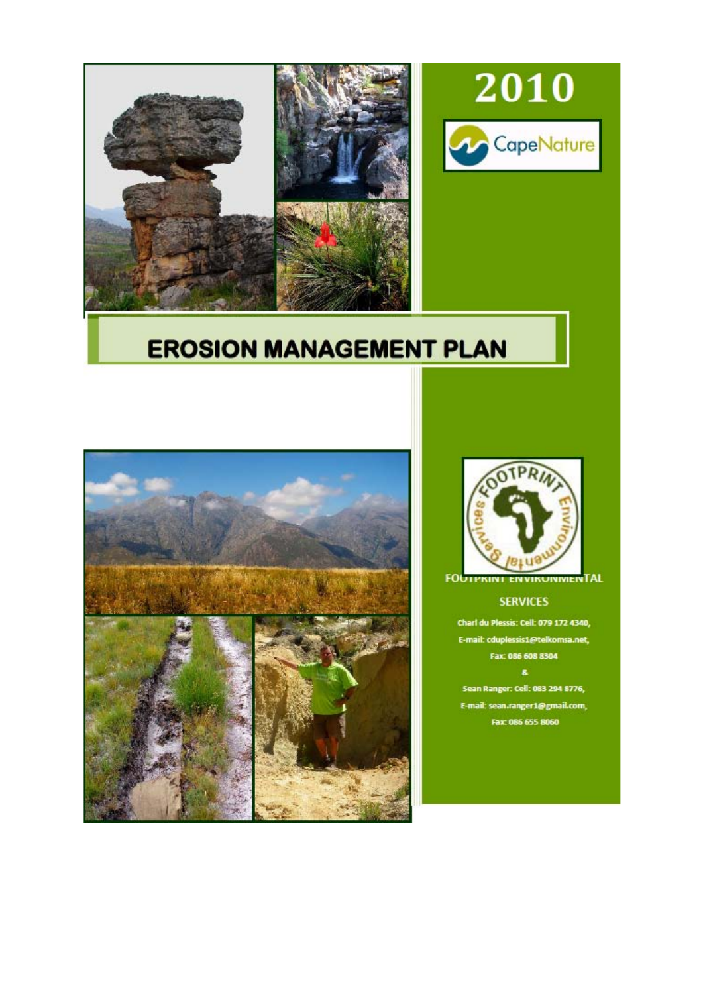

## **EROSION MANAGEMENT PLAN**





2010

CapeNature

**FOUTPRINT VIRUNIVIENTAL** 

## **SERVICES**

Charl du Plessis: Cell: 079 172 4340, E-mail: cduplessis1@telkomsa.net, Fax: 086 608 8304  $\mathbf{a}$ Sean Ranger: Cell: 083 294 8776,

E-mail: sean.ranger1@gmail.com, Fax: 086 655 8060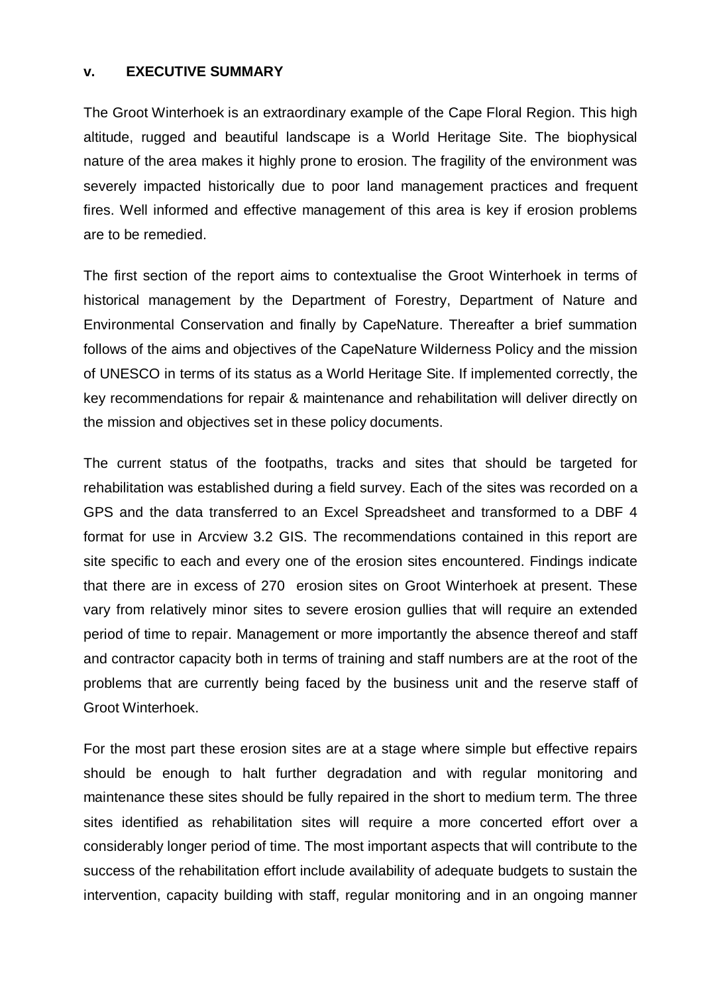## **v. EXECUTIVE SUMMARY**

The Groot Winterhoek is an extraordinary example of the Cape Floral Region. This high altitude, rugged and beautiful landscape is a World Heritage Site. The biophysical nature of the area makes it highly prone to erosion. The fragility of the environment was severely impacted historically due to poor land management practices and frequent fires. Well informed and effective management of this area is key if erosion problems are to be remedied.

The first section of the report aims to contextualise the Groot Winterhoek in terms of historical management by the Department of Forestry, Department of Nature and Environmental Conservation and finally by CapeNature. Thereafter a brief summation follows of the aims and objectives of the CapeNature Wilderness Policy and the mission of UNESCO in terms of its status as a World Heritage Site. If implemented correctly, the key recommendations for repair & maintenance and rehabilitation will deliver directly on the mission and objectives set in these policy documents.

The current status of the footpaths, tracks and sites that should be targeted for rehabilitation was established during a field survey. Each of the sites was recorded on a GPS and the data transferred to an Excel Spreadsheet and transformed to a DBF 4 format for use in Arcview 3.2 GIS. The recommendations contained in this report are site specific to each and every one of the erosion sites encountered. Findings indicate that there are in excess of 270 erosion sites on Groot Winterhoek at present. These vary from relatively minor sites to severe erosion gullies that will require an extended period of time to repair. Management or more importantly the absence thereof and staff and contractor capacity both in terms of training and staff numbers are at the root of the problems that are currently being faced by the business unit and the reserve staff of Groot Winterhoek.

For the most part these erosion sites are at a stage where simple but effective repairs should be enough to halt further degradation and with regular monitoring and maintenance these sites should be fully repaired in the short to medium term. The three sites identified as rehabilitation sites will require a more concerted effort over a considerably longer period of time. The most important aspects that will contribute to the success of the rehabilitation effort include availability of adequate budgets to sustain the intervention, capacity building with staff, regular monitoring and in an ongoing manner